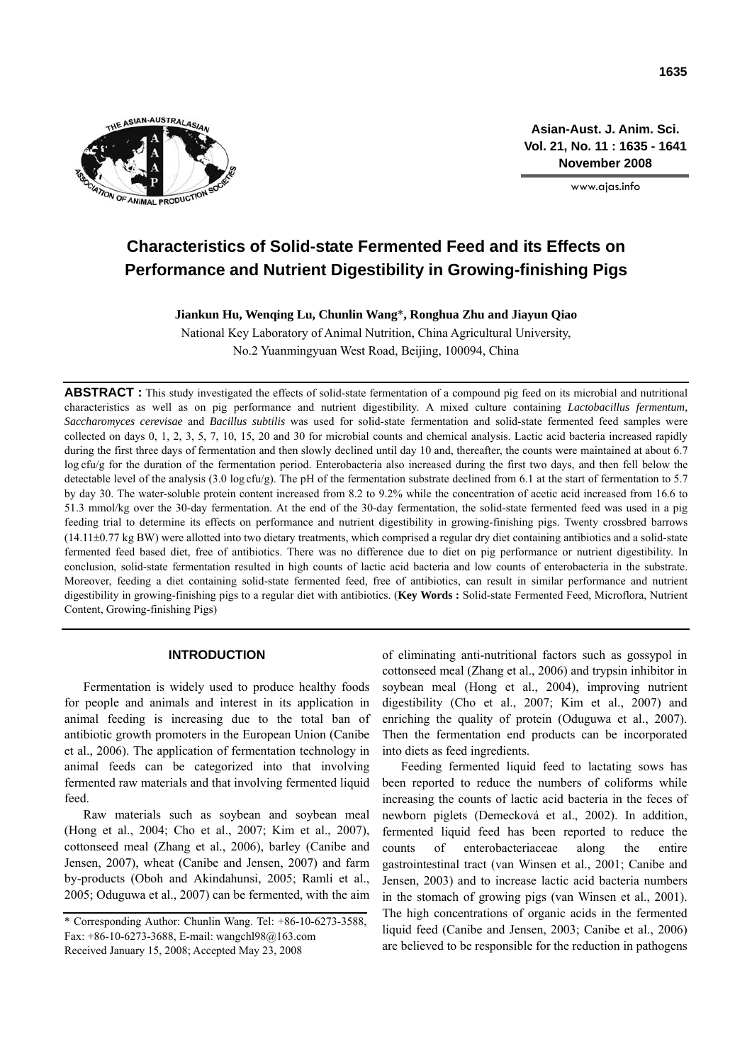

**Asian-Aust. J. Anim. Sci. Vol. 21, No. 11 : 1635 - 1641 November 2008**

www.ajas.info

# **Characteristics of Solid-state Fermented Feed and its Effects on Performance and Nutrient Digestibility in Growing-finishing Pigs**

**Jiankun Hu, Wenqing Lu, Chunlin Wang**\***, Ronghua Zhu and Jiayun Qiao** 

National Key Laboratory of Animal Nutrition, China Agricultural University, No.2 Yuanmingyuan West Road, Beijing, 100094, China

**ABSTRACT :** This study investigated the effects of solid-state fermentation of a compound pig feed on its microbial and nutritional characteristics as well as on pig performance and nutrient digestibility. A mixed culture containing *Lactobacillus fermentum*, *Saccharomyces cerevisae* and *Bacillus subtilis* was used for solid-state fermentation and solid-state fermented feed samples were collected on days 0, 1, 2, 3, 5, 7, 10, 15, 20 and 30 for microbial counts and chemical analysis. Lactic acid bacteria increased rapidly during the first three days of fermentation and then slowly declined until day 10 and, thereafter, the counts were maintained at about 6.7 log cfu/g for the duration of the fermentation period. Enterobacteria also increased during the first two days, and then fell below the detectable level of the analysis (3.0 log cfu/g). The pH of the fermentation substrate declined from 6.1 at the start of fermentation to 5.7 by day 30. The water-soluble protein content increased from 8.2 to 9.2% while the concentration of acetic acid increased from 16.6 to 51.3 mmol/kg over the 30-day fermentation. At the end of the 30-day fermentation, the solid-state fermented feed was used in a pig feeding trial to determine its effects on performance and nutrient digestibility in growing-finishing pigs. Twenty crossbred barrows  $(14.11\pm0.77 \text{ kg BW})$  were allotted into two dietary treatments, which comprised a regular dry diet containing antibiotics and a solid-state fermented feed based diet, free of antibiotics. There was no difference due to diet on pig performance or nutrient digestibility. In conclusion, solid-state fermentation resulted in high counts of lactic acid bacteria and low counts of enterobacteria in the substrate. Moreover, feeding a diet containing solid-state fermented feed, free of antibiotics, can result in similar performance and nutrient digestibility in growing-finishing pigs to a regular diet with antibiotics. (**Key Words :** Solid-state Fermented Feed, Microflora, Nutrient Content, Growing-finishing Pigs)

## **INTRODUCTION**

Fermentation is widely used to produce healthy foods for people and animals and interest in its application in animal feeding is increasing due to the total ban of antibiotic growth promoters in the European Union (Canibe et al., 2006). The application of fermentation technology in animal feeds can be categorized into that involving fermented raw materials and that involving fermented liquid feed.

Raw materials such as soybean and soybean meal (Hong et al., 2004; Cho et al., 2007; Kim et al., 2007), cottonseed meal (Zhang et al., 2006), barley (Canibe and Jensen, 2007), wheat (Canibe and Jensen, 2007) and farm by-products (Oboh and Akindahunsi, 2005; Ramli et al., 2005; Oduguwa et al., 2007) can be fermented, with the aim of eliminating anti-nutritional factors such as gossypol in cottonseed meal (Zhang et al., 2006) and trypsin inhibitor in soybean meal (Hong et al., 2004), improving nutrient digestibility (Cho et al., 2007; Kim et al., 2007) and enriching the quality of protein (Oduguwa et al., 2007). Then the fermentation end products can be incorporated into diets as feed ingredients.

Feeding fermented liquid feed to lactating sows has been reported to reduce the numbers of coliforms while increasing the counts of lactic acid bacteria in the feces of newborn piglets (Demecková et al., 2002). In addition, fermented liquid feed has been reported to reduce the counts of enterobacteriaceae along the entire gastrointestinal tract (van Winsen et al., 2001; Canibe and Jensen, 2003) and to increase lactic acid bacteria numbers in the stomach of growing pigs (van Winsen et al., 2001). The high concentrations of organic acids in the fermented liquid feed (Canibe and Jensen, 2003; Canibe et al., 2006) are believed to be responsible for the reduction in pathogens

<sup>\*</sup> Corresponding Author: Chunlin Wang. Tel: +86-10-6273-3588, Fax: +86-10-6273-3688, E-mail: wangchl98@163.com Received January 15, 2008; Accepted May 23, 2008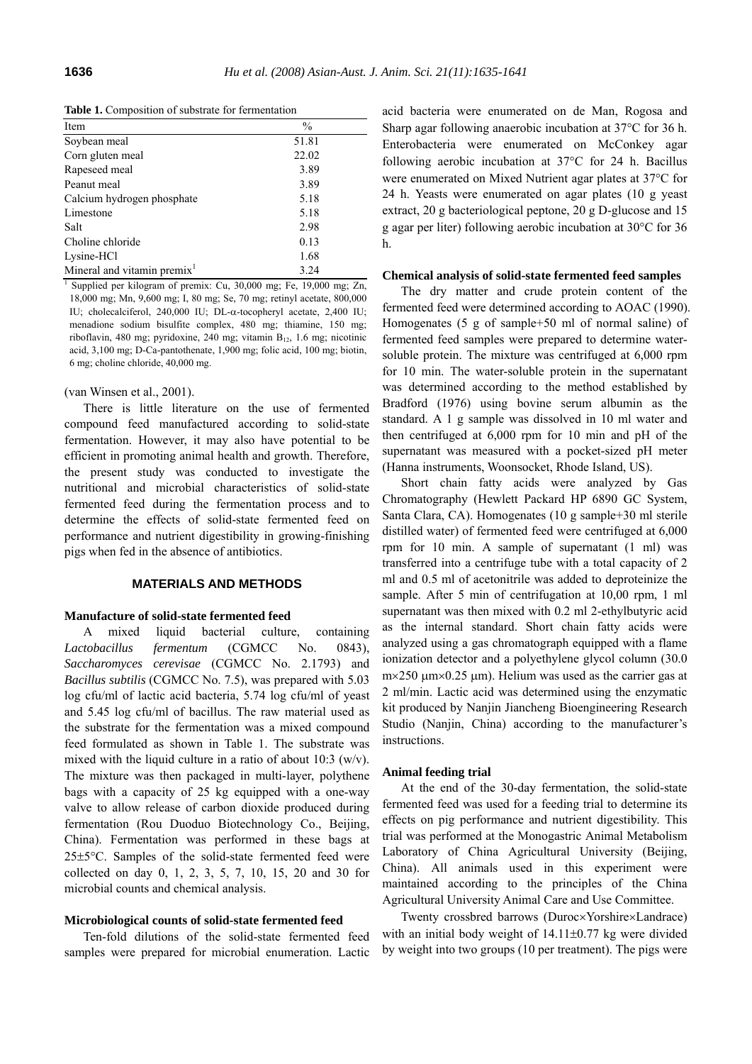**Table 1.** Composition of substrate for fermentation

| Item                                                                            | $\frac{0}{0}$ |
|---------------------------------------------------------------------------------|---------------|
| Soybean meal                                                                    | 51.81         |
| Corn gluten meal                                                                | 22.02         |
| Rapeseed meal                                                                   | 3.89          |
| Peanut meal                                                                     | 3.89          |
| Calcium hydrogen phosphate                                                      | 5.18          |
| Limestone                                                                       | 5.18          |
| Salt                                                                            | 2.98          |
| Choline chloride                                                                | 0.13          |
| Lysine-HCl                                                                      | 1.68          |
| Mineral and vitamin premix <sup>1</sup>                                         | 3.24          |
| <sup>1</sup> Supplied per kilogram of premix: Cu, 30,000 mg; Fe, 19,000 mg; Zn, |               |

18,000 mg; Mn, 9,600 mg; I, 80 mg; Se, 70 mg; retinyl acetate, 800,000 IU; cholecalciferol, 240,000 IU; DL-α-tocopheryl acetate, 2,400 IU; menadione sodium bisulfite complex, 480 mg; thiamine, 150 mg; riboflavin, 480 mg; pyridoxine, 240 mg; vitamin  $B_{12}$ , 1.6 mg; nicotinic acid, 3,100 mg; D-Ca-pantothenate, 1,900 mg; folic acid, 100 mg; biotin, 6 mg; choline chloride, 40,000 mg.

#### (van Winsen et al., 2001).

There is little literature on the use of fermented compound feed manufactured according to solid-state fermentation. However, it may also have potential to be efficient in promoting animal health and growth. Therefore, the present study was conducted to investigate the nutritional and microbial characteristics of solid-state fermented feed during the fermentation process and to determine the effects of solid-state fermented feed on performance and nutrient digestibility in growing-finishing pigs when fed in the absence of antibiotics.

## **MATERIALS AND METHODS**

#### **Manufacture of solid-state fermented feed**

A mixed liquid bacterial culture, containing *Lactobacillus fermentum* (CGMCC No. 0843), *Saccharomyces cerevisae* (CGMCC No. 2.1793) and *Bacillus subtilis* (CGMCC No. 7.5), was prepared with 5.03 log cfu/ml of lactic acid bacteria, 5.74 log cfu/ml of yeast and 5.45 log cfu/ml of bacillus. The raw material used as the substrate for the fermentation was a mixed compound feed formulated as shown in Table 1. The substrate was mixed with the liquid culture in a ratio of about  $10:3$  (w/v). The mixture was then packaged in multi-layer, polythene bags with a capacity of 25 kg equipped with a one-way valve to allow release of carbon dioxide produced during fermentation (Rou Duoduo Biotechnology Co., Beijing, China). Fermentation was performed in these bags at 25±5°C. Samples of the solid-state fermented feed were collected on day 0, 1, 2, 3, 5, 7, 10, 15, 20 and 30 for microbial counts and chemical analysis.

#### **Microbiological counts of solid-state fermented feed**

Ten-fold dilutions of the solid-state fermented feed samples were prepared for microbial enumeration. Lactic

acid bacteria were enumerated on de Man, Rogosa and Sharp agar following anaerobic incubation at 37°C for 36 h. Enterobacteria were enumerated on McConkey agar following aerobic incubation at 37°C for 24 h. Bacillus were enumerated on Mixed Nutrient agar plates at 37°C for 24 h. Yeasts were enumerated on agar plates (10 g yeast extract, 20 g bacteriological peptone, 20 g D-glucose and 15 g agar per liter) following aerobic incubation at 30°C for 36 h.

# **Chemical analysis of solid-state fermented feed samples**

The dry matter and crude protein content of the fermented feed were determined according to AOAC (1990). Homogenates (5 g of sample+50 ml of normal saline) of fermented feed samples were prepared to determine watersoluble protein. The mixture was centrifuged at 6,000 rpm for 10 min. The water-soluble protein in the supernatant was determined according to the method established by Bradford (1976) using bovine serum albumin as the standard. A 1 g sample was dissolved in 10 ml water and then centrifuged at 6,000 rpm for 10 min and pH of the supernatant was measured with a pocket-sized pH meter (Hanna instruments, Woonsocket, Rhode Island, US).

Short chain fatty acids were analyzed by Gas Chromatography (Hewlett Packard HP 6890 GC System, Santa Clara, CA). Homogenates (10 g sample+30 ml sterile distilled water) of fermented feed were centrifuged at 6,000 rpm for 10 min. A sample of supernatant (1 ml) was transferred into a centrifuge tube with a total capacity of 2 ml and 0.5 ml of acetonitrile was added to deproteinize the sample. After 5 min of centrifugation at 10,00 rpm, 1 ml supernatant was then mixed with 0.2 ml 2-ethylbutyric acid as the internal standard. Short chain fatty acids were analyzed using a gas chromatograph equipped with a flame ionization detector and a polyethylene glycol column (30.0 m×250 μm×0.25 μm). Helium was used as the carrier gas at 2 ml/min. Lactic acid was determined using the enzymatic kit produced by Nanjin Jiancheng Bioengineering Research Studio (Nanjin, China) according to the manufacturer's instructions.

#### **Animal feeding trial**

At the end of the 30-day fermentation, the solid-state fermented feed was used for a feeding trial to determine its effects on pig performance and nutrient digestibility. This trial was performed at the Monogastric Animal Metabolism Laboratory of China Agricultural University (Beijing, China). All animals used in this experiment were maintained according to the principles of the China Agricultural University Animal Care and Use Committee.

Twenty crossbred barrows (Duroc×Yorshire×Landrace) with an initial body weight of 14.11±0.77 kg were divided by weight into two groups (10 per treatment). The pigs were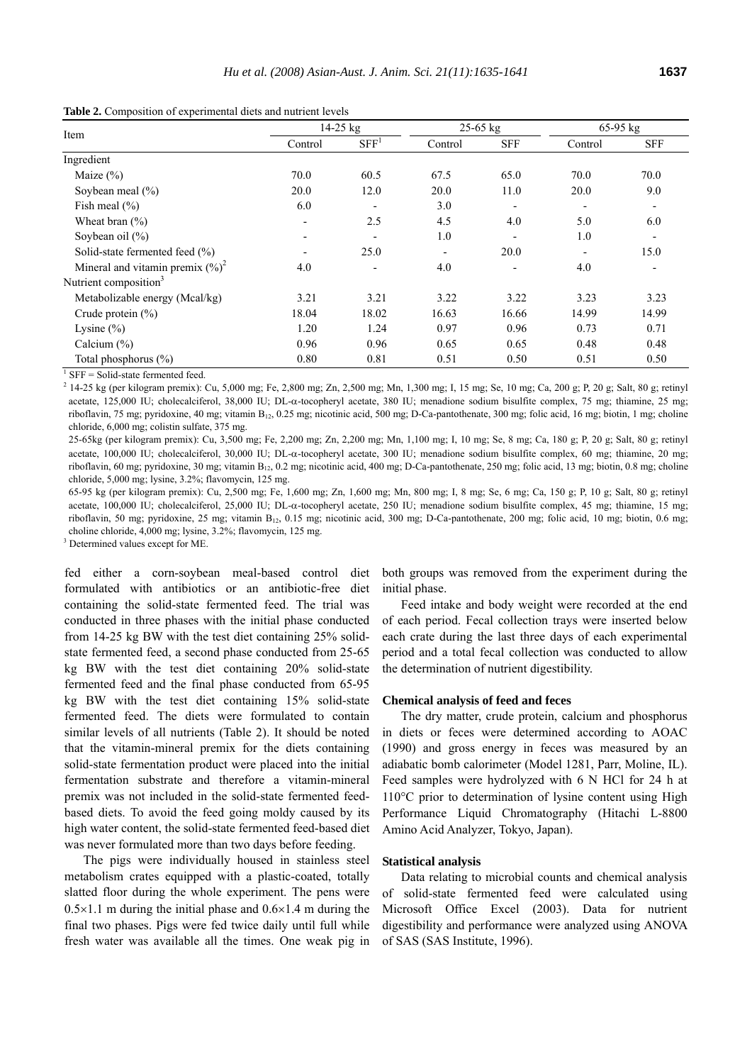| Item                                 | $14-25$ kg |                  | $25-65$ kg |                          | 65-95 kg                 |                          |
|--------------------------------------|------------|------------------|------------|--------------------------|--------------------------|--------------------------|
|                                      | Control    | SFF <sup>1</sup> | Control    | <b>SFF</b>               | Control                  | <b>SFF</b>               |
| Ingredient                           |            |                  |            |                          |                          |                          |
| Maize $(\%)$                         | 70.0       | 60.5             | 67.5       | 65.0                     | 70.0                     | 70.0                     |
| Soybean meal $(\% )$                 | 20.0       | 12.0             | 20.0       | 11.0                     | 20.0                     | 9.0                      |
| Fish meal $(\% )$                    | 6.0        |                  | 3.0        | $\overline{\phantom{0}}$ | $\overline{\phantom{a}}$ | $\overline{\phantom{a}}$ |
| Wheat bran $(\% )$                   | ۰          | 2.5              | 4.5        | 4.0                      | 5.0                      | 6.0                      |
| Soybean oil $(\% )$                  | ۰          |                  | 1.0        |                          | 1.0                      |                          |
| Solid-state fermented feed (%)       |            | 25.0             |            | 20.0                     | $\overline{\phantom{a}}$ | 15.0                     |
| Mineral and vitamin premix $(\%)^2$  | 4.0        |                  | 4.0        |                          | 4.0                      |                          |
| Nutrient composition <sup>3</sup>    |            |                  |            |                          |                          |                          |
| Metabolizable energy (Mcal/kg)       | 3.21       | 3.21             | 3.22       | 3.22                     | 3.23                     | 3.23                     |
| Crude protein $(\% )$                | 18.04      | 18.02            | 16.63      | 16.66                    | 14.99                    | 14.99                    |
| Lysine $(\% )$                       | 1.20       | 1.24             | 0.97       | 0.96                     | 0.73                     | 0.71                     |
| Calcium $(\% )$                      | 0.96       | 0.96             | 0.65       | 0.65                     | 0.48                     | 0.48                     |
| Total phosphorus (%)                 | 0.80       | 0.81             | 0.51       | 0.50                     | 0.51                     | 0.50                     |
| $CET = Co1.4$ otate forms outed food |            |                  |            |                          |                          |                          |

**Table 2.** Composition of experimental diets and nutrient levels

 $\overline{\text{SFF}} = \text{Solid-state fermented feed}.$ 

 $^{2}$  14-25 kg (per kilogram premix): Cu, 5,000 mg; Fe, 2,800 mg; Zn, 2,500 mg; Mn, 1,300 mg; I, 15 mg; Se, 10 mg; Ca, 200 g; P, 20 g; Salt, 80 g; retinyl acetate, 125,000 IU; cholecalciferol, 38,000 IU; DL-α-tocopheryl acetate, 380 IU; menadione sodium bisulfite complex, 75 mg; thiamine, 25 mg; riboflavin, 75 mg; pyridoxine, 40 mg; vitamin B<sub>12</sub>, 0.25 mg; nicotinic acid, 500 mg; D-Ca-pantothenate, 300 mg; folic acid, 16 mg; biotin, 1 mg; choline chloride, 6,000 mg; colistin sulfate, 375 mg.

25-65kg (per kilogram premix): Cu, 3,500 mg; Fe, 2,200 mg; Zn, 2,200 mg; Mn, 1,100 mg; I, 10 mg; Se, 8 mg; Ca, 180 g; P, 20 g; Salt, 80 g; retinyl acetate, 100,000 IU; cholecalciferol, 30,000 IU; DL-α-tocopheryl acetate, 300 IU; menadione sodium bisulfite complex, 60 mg; thiamine, 20 mg; riboflavin, 60 mg; pyridoxine, 30 mg; vitamin B<sub>12</sub>, 0.2 mg; nicotinic acid, 400 mg; D-Ca-pantothenate, 250 mg; folic acid, 13 mg; biotin, 0.8 mg; choline chloride, 5,000 mg; lysine, 3.2%; flavomycin, 125 mg.

65-95 kg (per kilogram premix): Cu, 2,500 mg; Fe, 1,600 mg; Zn, 1,600 mg; Mn, 800 mg; I, 8 mg; Se, 6 mg; Ca, 150 g; P, 10 g; Salt, 80 g; retinyl acetate, 100,000 IU; cholecalciferol, 25,000 IU; DL-α-tocopheryl acetate, 250 IU; menadione sodium bisulfite complex, 45 mg; thiamine, 15 mg; riboflavin, 50 mg; pyridoxine, 25 mg; vitamin B<sub>12</sub>, 0.15 mg; nicotinic acid, 300 mg; D-Ca-pantothenate, 200 mg; folic acid, 10 mg; biotin, 0.6 mg; choline chloride, 4,000 mg; lysine, 3.2%; flavomycin, 125 mg.

<sup>3</sup> Determined values except for ME.

fed either a corn-soybean meal-based control diet formulated with antibiotics or an antibiotic-free diet containing the solid-state fermented feed. The trial was conducted in three phases with the initial phase conducted from 14-25 kg BW with the test diet containing 25% solidstate fermented feed, a second phase conducted from 25-65 kg BW with the test diet containing 20% solid-state fermented feed and the final phase conducted from 65-95 kg BW with the test diet containing 15% solid-state fermented feed. The diets were formulated to contain similar levels of all nutrients (Table 2). It should be noted that the vitamin-mineral premix for the diets containing solid-state fermentation product were placed into the initial fermentation substrate and therefore a vitamin-mineral premix was not included in the solid-state fermented feedbased diets. To avoid the feed going moldy caused by its high water content, the solid-state fermented feed-based diet was never formulated more than two days before feeding.

The pigs were individually housed in stainless steel metabolism crates equipped with a plastic-coated, totally slatted floor during the whole experiment. The pens were  $0.5 \times 1.1$  m during the initial phase and  $0.6 \times 1.4$  m during the final two phases. Pigs were fed twice daily until full while fresh water was available all the times. One weak pig in both groups was removed from the experiment during the initial phase.

Feed intake and body weight were recorded at the end of each period. Fecal collection trays were inserted below each crate during the last three days of each experimental period and a total fecal collection was conducted to allow the determination of nutrient digestibility.

## **Chemical analysis of feed and feces**

The dry matter, crude protein, calcium and phosphorus in diets or feces were determined according to AOAC (1990) and gross energy in feces was measured by an adiabatic bomb calorimeter (Model 1281, Parr, Moline, IL). Feed samples were hydrolyzed with 6 N HCl for 24 h at 110°C prior to determination of lysine content using High Performance Liquid Chromatography (Hitachi L-8800 Amino Acid Analyzer, Tokyo, Japan).

#### **Statistical analysis**

Data relating to microbial counts and chemical analysis of solid-state fermented feed were calculated using Microsoft Office Excel (2003). Data for nutrient digestibility and performance were analyzed using ANOVA of SAS (SAS Institute, 1996).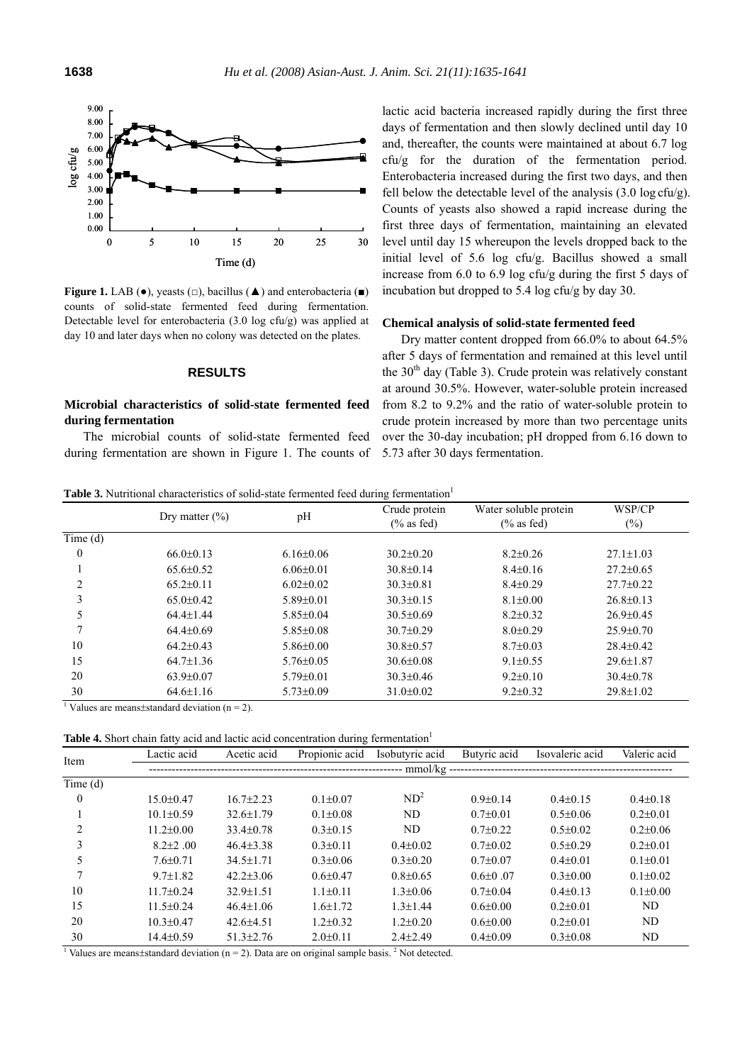

**Figure 1.** LAB ( $\bullet$ ), yeasts ( $\Box$ ), bacillus ( $\blacktriangle$ ) and enterobacteria ( $\blacksquare$ ) counts of solid-state fermented feed during fermentation. Detectable level for enterobacteria (3.0 log cfu/g) was applied at day 10 and later days when no colony was detected on the plates.

## **RESULTS**

# **Microbial characteristics of solid-state fermented feed during fermentation**

The microbial counts of solid-state fermented feed during fermentation are shown in Figure 1. The counts of

lactic acid bacteria increased rapidly during the first three days of fermentation and then slowly declined until day 10 and, thereafter, the counts were maintained at about 6.7 log  $cfu/g$  for the duration of the fermentation period. Enterobacteria increased during the first two days, and then fell below the detectable level of the analysis (3.0 log cfu/g). Counts of yeasts also showed a rapid increase during the first three days of fermentation, maintaining an elevated level until day 15 whereupon the levels dropped back to the initial level of 5.6 log cfu/g. Bacillus showed a small increase from 6.0 to 6.9 log cfu/g during the first 5 days of incubation but dropped to 5.4 log cfu/g by day 30.

## **Chemical analysis of solid-state fermented feed**

Dry matter content dropped from 66.0% to about 64.5% after 5 days of fermentation and remained at this level until the  $30<sup>th</sup>$  day (Table 3). Crude protein was relatively constant at around 30.5%. However, water-soluble protein increased from 8.2 to 9.2% and the ratio of water-soluble protein to crude protein increased by more than two percentage units over the 30-day incubation; pH dropped from 6.16 down to 5.73 after 30 days fermentation.

**Table 3.** Nutritional characteristics of solid-state fermented feed during fermentation<sup>1</sup>

|         |                    |                 | Crude protein   | Water soluble protein | WSP/CP          |
|---------|--------------------|-----------------|-----------------|-----------------------|-----------------|
|         | Dry matter $(\% )$ | pH              | $(\%$ as fed)   | $(\%$ as fed)         | $(\%)$          |
| Time(d) |                    |                 |                 |                       |                 |
| 0       | $66.0 \pm 0.13$    | $6.16 \pm 0.06$ | $30.2 \pm 0.20$ | $8.2 \pm 0.26$        | $27.1 \pm 1.03$ |
|         | $65.6 \pm 0.52$    | $6.06 \pm 0.01$ | $30.8 \pm 0.14$ | $8.4 \pm 0.16$        | $27.2 \pm 0.65$ |
|         | $65.2 \pm 0.11$    | $6.02 \pm 0.02$ | $30.3 \pm 0.81$ | $8.4 \pm 0.29$        | $27.7 \pm 0.22$ |
| 3       | $65.0 \pm 0.42$    | $5.89 \pm 0.01$ | $30.3 \pm 0.15$ | $8.1 \pm 0.00$        | $26.8 \pm 0.13$ |
| 5       | $64.4 \pm 1.44$    | $5.85 \pm 0.04$ | $30.5 \pm 0.69$ | $8.2 \pm 0.32$        | $26.9 \pm 0.45$ |
|         | $64.4 \pm 0.69$    | $5.85 \pm 0.08$ | $30.7 \pm 0.29$ | $8.0 \pm 0.29$        | $25.9 \pm 0.70$ |
| 10      | $64.2 \pm 0.43$    | $5.86 \pm 0.00$ | $30.8 \pm 0.57$ | $8.7 \pm 0.03$        | $28.4 \pm 0.42$ |
| 15      | $64.7 \pm 1.36$    | $5.76 \pm 0.05$ | $30.6 \pm 0.08$ | $9.1 \pm 0.55$        | $29.6 \pm 1.87$ |
| 20      | $63.9 \pm 0.07$    | $5.79 \pm 0.01$ | $30.3 \pm 0.46$ | $9.2 \pm 0.10$        | $30.4 \pm 0.78$ |
| 30      | $64.6 \pm 1.16$    | $5.73 \pm 0.09$ | $31.0 \pm 0.02$ | $9.2 \pm 0.32$        | 29.8±1.02       |

<sup>1</sup> Values are means $\pm$ standard deviation (n = 2).

**Table 4.** Short chain fatty acid and lactic acid concentration during fermentation<sup>1</sup>

| Item                                                                                                            | Lactic acid     | Acetic acid     | Propionic acid | Isobutyric acid | Butyric acid   | Isovaleric acid | Valeric acid   |
|-----------------------------------------------------------------------------------------------------------------|-----------------|-----------------|----------------|-----------------|----------------|-----------------|----------------|
|                                                                                                                 |                 |                 |                |                 |                |                 |                |
| Time(d)                                                                                                         |                 |                 |                |                 |                |                 |                |
| $\theta$                                                                                                        | $15.0 \pm 0.47$ | $16.7 \pm 2.23$ | $0.1 \pm 0.07$ | ND <sup>2</sup> | $0.9 \pm 0.14$ | $0.4 \pm 0.15$  | $0.4 \pm 0.18$ |
|                                                                                                                 | $10.1 \pm 0.59$ | $32.6 \pm 1.79$ | $0.1 \pm 0.08$ | ND              | $0.7 \pm 0.01$ | $0.5 \pm 0.06$  | $0.2{\pm}0.01$ |
| 2                                                                                                               | $11.2 \pm 0.00$ | $33.4 \pm 0.78$ | $0.3 \pm 0.15$ | ND              | $0.7 \pm 0.22$ | $0.5 \pm 0.02$  | $0.2{\pm}0.06$ |
| 3                                                                                                               | $8.2 + 2.00$    | $46.4 \pm 3.38$ | $0.3 \pm 0.11$ | $0.4 \pm 0.02$  | $0.7 \pm 0.02$ | $0.5 \pm 0.29$  | $0.2{\pm}0.01$ |
| 5                                                                                                               | $7.6 \pm 0.71$  | $34.5 \pm 1.71$ | $0.3 \pm 0.06$ | $0.3 \pm 0.20$  | $0.7 \pm 0.07$ | $0.4 \pm 0.01$  | $0.1 \pm 0.01$ |
|                                                                                                                 | $9.7 \pm 1.82$  | $42.2 \pm 3.06$ | $0.6 \pm 0.47$ | $0.8 \pm 0.65$  | $0.6 \pm 0.07$ | $0.3 \pm 0.00$  | $0.1 \pm 0.02$ |
| 10                                                                                                              | $11.7 \pm 0.24$ | $32.9 \pm 1.51$ | $1.1 \pm 0.11$ | $1.3 \pm 0.06$  | $0.7 \pm 0.04$ | $0.4 \pm 0.13$  | $0.1 \pm 0.00$ |
| 15                                                                                                              | $11.5 \pm 0.24$ | $46.4 \pm 1.06$ | $1.6 \pm 1.72$ | $1.3 \pm 1.44$  | $0.6{\pm}0.00$ | $0.2+0.01$      | ND             |
| 20                                                                                                              | $10.3 \pm 0.47$ | $42.6 \pm 4.51$ | $1.2 \pm 0.32$ | $1.2 \pm 0.20$  | $0.6{\pm}0.00$ | $0.2{\pm}0.01$  | ND             |
| 30                                                                                                              | $14.4 \pm 0.59$ | $51.3 \pm 2.76$ | $2.0 \pm 0.11$ | $2.4 \pm 2.49$  | $0.4 \pm 0.09$ | $0.3 \pm 0.08$  | ND             |
| Values are means tstandard deviation ( $n = 2$ ). Data are on original sample basis. <sup>2</sup> Not detected. |                 |                 |                |                 |                |                 |                |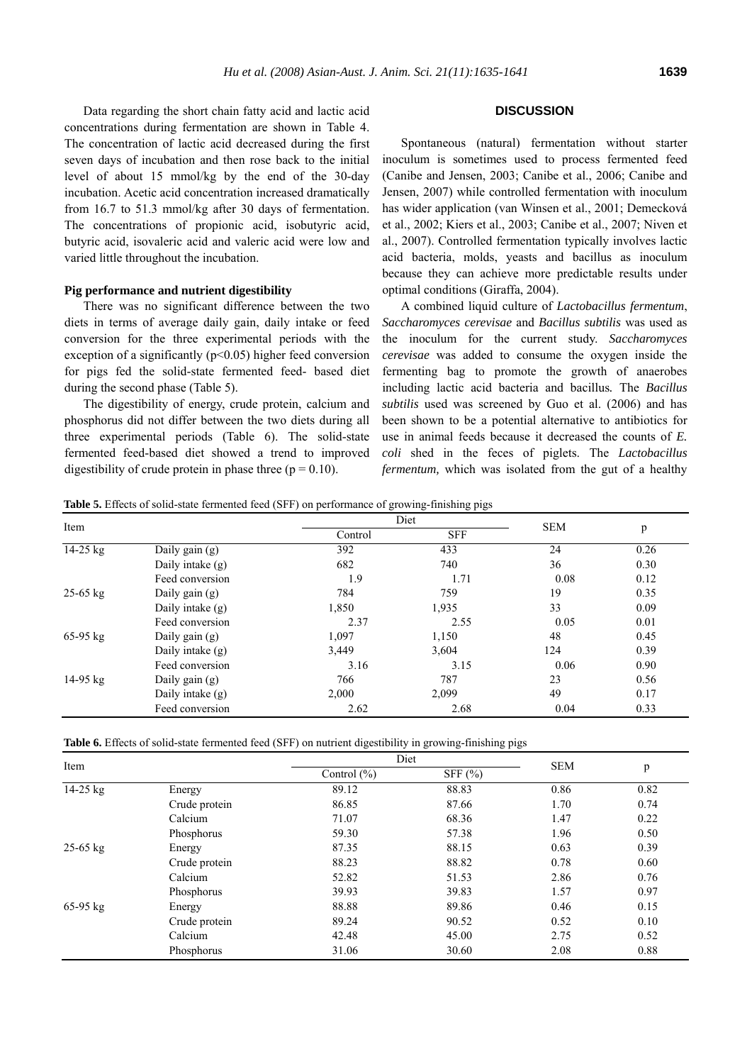Data regarding the short chain fatty acid and lactic acid concentrations during fermentation are shown in Table 4. The concentration of lactic acid decreased during the first seven days of incubation and then rose back to the initial level of about 15 mmol/kg by the end of the 30-day incubation. Acetic acid concentration increased dramatically from 16.7 to 51.3 mmol/kg after 30 days of fermentation. The concentrations of propionic acid, isobutyric acid, butyric acid, isovaleric acid and valeric acid were low and varied little throughout the incubation.

## **Pig performance and nutrient digestibility**

There was no significant difference between the two diets in terms of average daily gain, daily intake or feed conversion for the three experimental periods with the exception of a significantly  $(p<0.05)$  higher feed conversion for pigs fed the solid-state fermented feed- based diet during the second phase (Table 5).

The digestibility of energy, crude protein, calcium and phosphorus did not differ between the two diets during all three experimental periods (Table 6). The solid-state fermented feed-based diet showed a trend to improved digestibility of crude protein in phase three ( $p = 0.10$ ).

# **DISCUSSION**

Spontaneous (natural) fermentation without starter inoculum is sometimes used to process fermented feed (Canibe and Jensen, 2003; Canibe et al., 2006; Canibe and Jensen, 2007) while controlled fermentation with inoculum has wider application (van Winsen et al., 2001; Demecková et al., 2002; Kiers et al., 2003; Canibe et al., 2007; Niven et al., 2007). Controlled fermentation typically involves lactic acid bacteria, molds, yeasts and bacillus as inoculum because they can achieve more predictable results under optimal conditions (Giraffa, 2004).

A combined liquid culture of *Lactobacillus fermentum*, *Saccharomyces cerevisae* and *Bacillus subtilis* was used as the inoculum for the current study. *Saccharomyces cerevisae* was added to consume the oxygen inside the fermenting bag to promote the growth of anaerobes including lactic acid bacteria and bacillus*.* The *Bacillus subtilis* used was screened by Guo et al. (2006) and has been shown to be a potential alternative to antibiotics for use in animal feeds because it decreased the counts of *E. coli* shed in the feces of piglets. The *Lactobacillus fermentum,* which was isolated from the gut of a healthy

**Table 5.** Effects of solid-state fermented feed (SFF) on performance of growing-finishing pigs

| Item       |                    |         | Diet       | <b>SEM</b> |      |
|------------|--------------------|---------|------------|------------|------|
|            |                    | Control | <b>SFF</b> |            | p    |
| 14-25 kg   | Daily gain $(g)$   | 392     | 433        | 24         | 0.26 |
|            | Daily intake $(g)$ | 682     | 740        | 36         | 0.30 |
|            | Feed conversion    | 1.9     | 1.71       | 0.08       | 0.12 |
| $25-65$ kg | Daily gain $(g)$   | 784     | 759        | 19         | 0.35 |
|            | Daily intake $(g)$ | 1,850   | 1,935      | 33         | 0.09 |
|            | Feed conversion    | 2.37    | 2.55       | 0.05       | 0.01 |
| $65-95$ kg | Daily gain $(g)$   | 1,097   | 1,150      | 48         | 0.45 |
|            | Daily intake $(g)$ | 3,449   | 3,604      | 124        | 0.39 |
|            | Feed conversion    | 3.16    | 3.15       | 0.06       | 0.90 |
| $14-95$ kg | Daily gain $(g)$   | 766     | 787        | 23         | 0.56 |
|            | Daily intake $(g)$ | 2,000   | 2,099      | 49         | 0.17 |
|            | Feed conversion    | 2.62    | 2.68       | 0.04       | 0.33 |

| Item         |               | Diet                           |       | <b>SEM</b> | p    |
|--------------|---------------|--------------------------------|-------|------------|------|
|              |               | SFF $(\% )$<br>Control $(\% )$ |       |            |      |
| 14-25 kg     | Energy        | 89.12                          | 88.83 | 0.86       | 0.82 |
|              | Crude protein | 86.85                          | 87.66 | 1.70       | 0.74 |
|              | Calcium       | 71.07                          | 68.36 | 1.47       | 0.22 |
|              | Phosphorus    | 59.30                          | 57.38 | 1.96       | 0.50 |
| $25 - 65$ kg | Energy        | 87.35                          | 88.15 | 0.63       | 0.39 |
|              | Crude protein | 88.23                          | 88.82 | 0.78       | 0.60 |
|              | Calcium       | 52.82                          | 51.53 | 2.86       | 0.76 |
|              | Phosphorus    | 39.93                          | 39.83 | 1.57       | 0.97 |
| $65-95$ kg   | Energy        | 88.88                          | 89.86 | 0.46       | 0.15 |
|              | Crude protein | 89.24                          | 90.52 | 0.52       | 0.10 |
|              | Calcium       | 42.48                          | 45.00 | 2.75       | 0.52 |
|              | Phosphorus    | 31.06                          | 30.60 | 2.08       | 0.88 |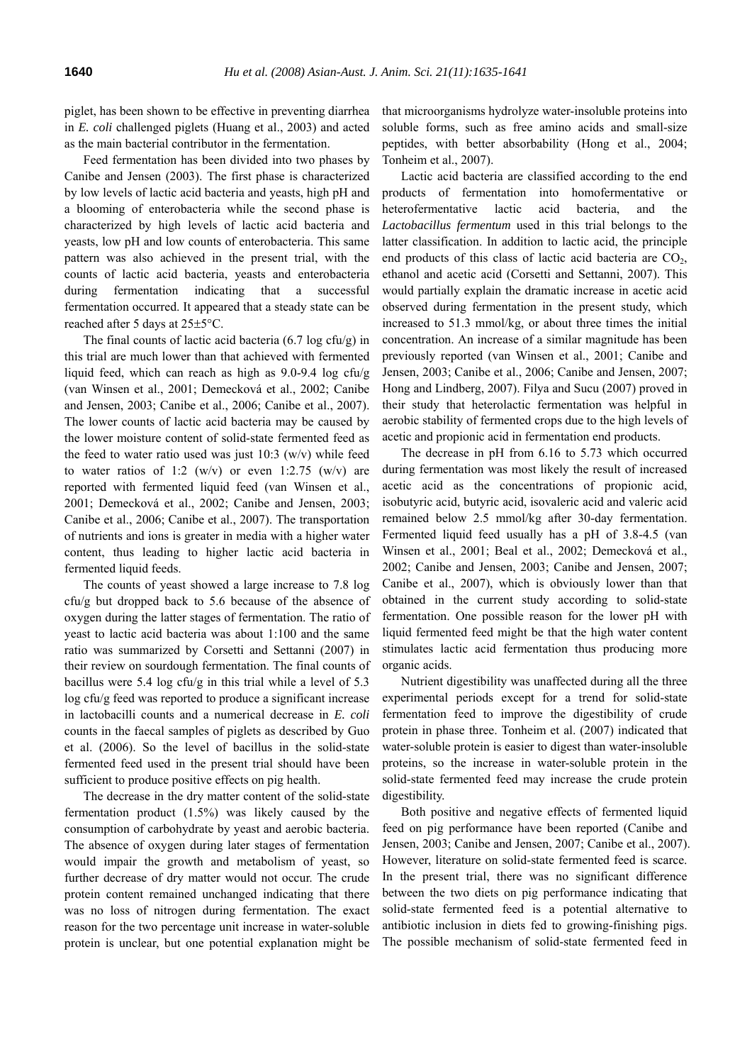piglet, has been shown to be effective in preventing diarrhea in *E. coli* challenged piglets (Huang et al., 2003) and acted as the main bacterial contributor in the fermentation.

Feed fermentation has been divided into two phases by Canibe and Jensen (2003). The first phase is characterized by low levels of lactic acid bacteria and yeasts, high pH and a blooming of enterobacteria while the second phase is characterized by high levels of lactic acid bacteria and yeasts, low pH and low counts of enterobacteria. This same pattern was also achieved in the present trial, with the counts of lactic acid bacteria, yeasts and enterobacteria during fermentation indicating that a successful fermentation occurred. It appeared that a steady state can be reached after 5 days at 25±5°C.

The final counts of lactic acid bacteria (6.7 log cfu/g) in this trial are much lower than that achieved with fermented liquid feed, which can reach as high as 9.0-9.4 log cfu/g (van Winsen et al., 2001; Demecková et al., 2002; Canibe and Jensen, 2003; Canibe et al., 2006; Canibe et al., 2007). The lower counts of lactic acid bacteria may be caused by the lower moisture content of solid-state fermented feed as the feed to water ratio used was just  $10:3$  (w/v) while feed to water ratios of 1:2 (w/v) or even 1:2.75 (w/v) are reported with fermented liquid feed (van Winsen et al., 2001; Demecková et al., 2002; Canibe and Jensen, 2003; Canibe et al., 2006; Canibe et al., 2007). The transportation of nutrients and ions is greater in media with a higher water content, thus leading to higher lactic acid bacteria in fermented liquid feeds.

The counts of yeast showed a large increase to 7.8 log cfu/g but dropped back to 5.6 because of the absence of oxygen during the latter stages of fermentation. The ratio of yeast to lactic acid bacteria was about 1:100 and the same ratio was summarized by Corsetti and Settanni (2007) in their review on sourdough fermentation. The final counts of bacillus were 5.4 log cfu/g in this trial while a level of 5.3 log cfu/g feed was reported to produce a significant increase in lactobacilli counts and a numerical decrease in *E. coli* counts in the faecal samples of piglets as described by Guo et al. (2006). So the level of bacillus in the solid-state fermented feed used in the present trial should have been sufficient to produce positive effects on pig health.

The decrease in the dry matter content of the solid-state fermentation product (1.5%) was likely caused by the consumption of carbohydrate by yeast and aerobic bacteria. The absence of oxygen during later stages of fermentation would impair the growth and metabolism of yeast, so further decrease of dry matter would not occur. The crude protein content remained unchanged indicating that there was no loss of nitrogen during fermentation. The exact reason for the two percentage unit increase in water-soluble protein is unclear, but one potential explanation might be that microorganisms hydrolyze water-insoluble proteins into soluble forms, such as free amino acids and small-size peptides, with better absorbability (Hong et al., 2004; Tonheim et al., 2007).

Lactic acid bacteria are classified according to the end products of fermentation into homofermentative or heterofermentative lactic acid bacteria, and the *Lactobacillus fermentum* used in this trial belongs to the latter classification. In addition to lactic acid, the principle end products of this class of lactic acid bacteria are  $CO<sub>2</sub>$ , ethanol and acetic acid (Corsetti and Settanni, 2007). This would partially explain the dramatic increase in acetic acid observed during fermentation in the present study, which increased to 51.3 mmol/kg, or about three times the initial concentration. An increase of a similar magnitude has been previously reported (van Winsen et al., 2001; Canibe and Jensen, 2003; Canibe et al., 2006; Canibe and Jensen, 2007; Hong and Lindberg, 2007). Filya and Sucu (2007) proved in their study that heterolactic fermentation was helpful in aerobic stability of fermented crops due to the high levels of acetic and propionic acid in fermentation end products.

The decrease in pH from 6.16 to 5.73 which occurred during fermentation was most likely the result of increased acetic acid as the concentrations of propionic acid, isobutyric acid, butyric acid, isovaleric acid and valeric acid remained below 2.5 mmol/kg after 30-day fermentation. Fermented liquid feed usually has a pH of 3.8-4.5 (van Winsen et al., 2001; Beal et al., 2002; Demecková et al., 2002; Canibe and Jensen, 2003; Canibe and Jensen, 2007; Canibe et al., 2007), which is obviously lower than that obtained in the current study according to solid-state fermentation. One possible reason for the lower pH with liquid fermented feed might be that the high water content stimulates lactic acid fermentation thus producing more organic acids.

Nutrient digestibility was unaffected during all the three experimental periods except for a trend for solid-state fermentation feed to improve the digestibility of crude protein in phase three. Tonheim et al. (2007) indicated that water-soluble protein is easier to digest than water-insoluble proteins, so the increase in water-soluble protein in the solid-state fermented feed may increase the crude protein digestibility.

Both positive and negative effects of fermented liquid feed on pig performance have been reported (Canibe and Jensen, 2003; Canibe and Jensen, 2007; Canibe et al., 2007). However, literature on solid-state fermented feed is scarce. In the present trial, there was no significant difference between the two diets on pig performance indicating that solid-state fermented feed is a potential alternative to antibiotic inclusion in diets fed to growing-finishing pigs. The possible mechanism of solid-state fermented feed in